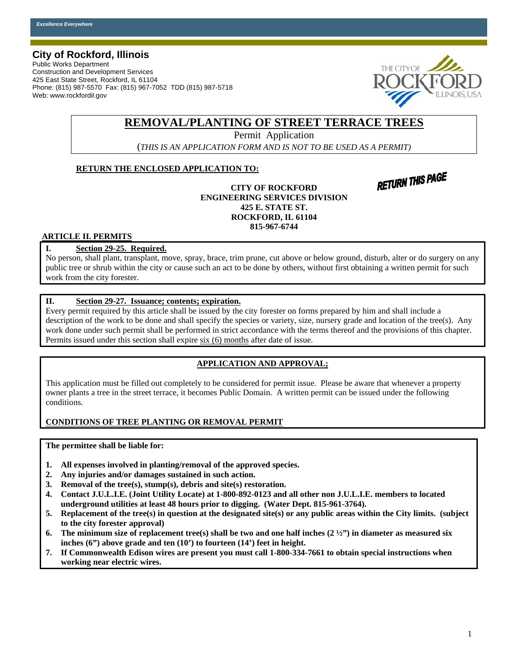### **City of Rockford, Illinois**

Public Works Department Construction and Development Services 425 East State Street, Rockford, IL 61104 Phone: (815) 987-5570 Fax: (815) 967-7052 TDD (815) 987-5718 Web: www.rockfordil.gov



## **REMOVAL/PLANTING OF STREET TERRACE TREES**

Permit Application

(*THIS IS AN APPLICATION FORM AND IS NOT TO BE USED AS A PERMIT)*

#### **RETURN THE ENCLOSED APPLICATION TO:**

**RETURN THIS PAGE** 

**CITY OF ROCKFORD ENGINEERING SERVICES DIVISION 425 E. STATE ST. ROCKFORD, IL 61104 815-967-6744** 

#### **ARTICLE II. PERMITS**

#### **I. Section 29-25. Required.**

No person, shall plant, transplant, move, spray, brace, trim prune, cut above or below ground, disturb, alter or do surgery on any public tree or shrub within the city or cause such an act to be done by others, without first obtaining a written permit for such work from the city forester.

#### **II. Section 29-27. Issuance; contents; expiration.**

Every permit required by this article shall be issued by the city forester on forms prepared by him and shall include a description of the work to be done and shall specify the species or variety, size, nursery grade and location of the tree(s). Any work done under such permit shall be performed in strict accordance with the terms thereof and the provisions of this chapter. Permits issued under this section shall expire six (6) months after date of issue.

#### **APPLICATION AND APPROVAL;**

This application must be filled out completely to be considered for permit issue. Please be aware that whenever a property owner plants a tree in the street terrace, it becomes Public Domain. A written permit can be issued under the following conditions.

#### **CONDITIONS OF TREE PLANTING OR REMOVAL PERMIT**

**The permittee shall be liable for:** 

- **1. All expenses involved in planting/removal of the approved species.**
- **2. Any injuries and/or damages sustained in such action.**
- **3. Removal of the tree(s), stump(s), debris and site(s) restoration.**
- **4. Contact J.U.L.I.E. (Joint Utility Locate) at 1-800-892-0123 and all other non J.U.L.I.E. members to located underground utilities at least 48 hours prior to digging. (Water Dept. 815-961-3764).**
- **5. Replacement of the tree(s) in question at the designated site(s) or any public areas within the City limits. (subject to the city forester approval)**
- **6. The minimum size of replacement tree(s) shall be two and one half inches (2 ½") in diameter as measured six inches (6") above grade and ten (10') to fourteen (14') feet in height.**
- **7. If Commonwealth Edison wires are present you must call 1-800-334-7661 to obtain special instructions when working near electric wires.**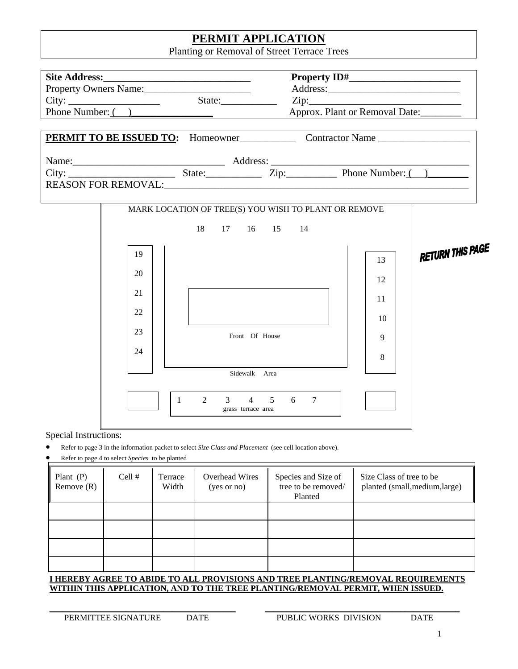# **PERMIT APPLICATION**

Planting or Removal of Street Terrace Trees

| Property Owners Name:<br>City: $\frac{1}{\sqrt{11} \cdot \sqrt{11} \cdot \sqrt{11} \cdot \sqrt{11} \cdot \sqrt{11} \cdot \sqrt{11} \cdot \sqrt{11} \cdot \sqrt{11} \cdot \sqrt{11} \cdot \sqrt{11} \cdot \sqrt{11} \cdot \sqrt{11} \cdot \sqrt{11} \cdot \sqrt{11} \cdot \sqrt{11} \cdot \sqrt{11} \cdot \sqrt{11} \cdot \sqrt{11} \cdot \sqrt{11} \cdot \sqrt{11} \cdot \sqrt{11} \cdot \sqrt{11} \cdot \sqrt{11} \cdot \sqrt{11} \cdot \sqrt{11} \cdot \sqrt{11} \cdot \$ |                                                 |                  |                                                                                                         | Approx. Plant or Removal Date:                                                                                                                                                                                                       |                          |                                |  |  |  |  |  |
|-----------------------------------------------------------------------------------------------------------------------------------------------------------------------------------------------------------------------------------------------------------------------------------------------------------------------------------------------------------------------------------------------------------------------------------------------------------------------------|-------------------------------------------------|------------------|---------------------------------------------------------------------------------------------------------|--------------------------------------------------------------------------------------------------------------------------------------------------------------------------------------------------------------------------------------|--------------------------|--------------------------------|--|--|--|--|--|
| Phone Number: ()                                                                                                                                                                                                                                                                                                                                                                                                                                                            |                                                 |                  |                                                                                                         |                                                                                                                                                                                                                                      |                          |                                |  |  |  |  |  |
|                                                                                                                                                                                                                                                                                                                                                                                                                                                                             |                                                 |                  |                                                                                                         | <b>PERMIT TO BE ISSUED TO:</b> Homeowner Contractor Name                                                                                                                                                                             |                          |                                |  |  |  |  |  |
|                                                                                                                                                                                                                                                                                                                                                                                                                                                                             |                                                 |                  |                                                                                                         | Name: City: <u>City: City: City: City: City: City: City: City: City: City: City: City: City: City: City: City: City: City: City: City: City: City: City: City: City: City: City: City: City: City: City: City: City: City: City:</u> |                          |                                |  |  |  |  |  |
|                                                                                                                                                                                                                                                                                                                                                                                                                                                                             |                                                 |                  |                                                                                                         | MARK LOCATION OF TREE(S) YOU WISH TO PLANT OR REMOVE                                                                                                                                                                                 |                          |                                |  |  |  |  |  |
|                                                                                                                                                                                                                                                                                                                                                                                                                                                                             |                                                 |                  | 17 16 15 14<br>18                                                                                       |                                                                                                                                                                                                                                      |                          |                                |  |  |  |  |  |
|                                                                                                                                                                                                                                                                                                                                                                                                                                                                             | 19                                              |                  |                                                                                                         |                                                                                                                                                                                                                                      | 13                       | <b>RETURN THIS PAGE</b>        |  |  |  |  |  |
|                                                                                                                                                                                                                                                                                                                                                                                                                                                                             | 20                                              |                  |                                                                                                         |                                                                                                                                                                                                                                      | 12                       |                                |  |  |  |  |  |
|                                                                                                                                                                                                                                                                                                                                                                                                                                                                             | 21<br>22                                        |                  |                                                                                                         |                                                                                                                                                                                                                                      | 11                       |                                |  |  |  |  |  |
|                                                                                                                                                                                                                                                                                                                                                                                                                                                                             | 23                                              |                  | Front Of House                                                                                          |                                                                                                                                                                                                                                      | 10                       |                                |  |  |  |  |  |
|                                                                                                                                                                                                                                                                                                                                                                                                                                                                             | 24                                              |                  |                                                                                                         |                                                                                                                                                                                                                                      | 9<br>8                   |                                |  |  |  |  |  |
|                                                                                                                                                                                                                                                                                                                                                                                                                                                                             |                                                 |                  | Sidewalk Area                                                                                           |                                                                                                                                                                                                                                      |                          |                                |  |  |  |  |  |
|                                                                                                                                                                                                                                                                                                                                                                                                                                                                             |                                                 | $\mathbf{1}$     | $4\quad 5$<br>2<br>3<br>grass terrace area                                                              | 6<br>$7\phantom{.0}$                                                                                                                                                                                                                 |                          |                                |  |  |  |  |  |
| Special Instructions:                                                                                                                                                                                                                                                                                                                                                                                                                                                       | Refer to page 4 to select Species to be planted |                  | Refer to page 3 in the information packet to select Size Class and Placement (see cell location above). |                                                                                                                                                                                                                                      |                          |                                |  |  |  |  |  |
| Plant $(P)$<br>Remove $(R)$                                                                                                                                                                                                                                                                                                                                                                                                                                                 | Cell #                                          | Terrace<br>Width | <b>Overhead Wires</b><br>(yes or no)                                                                    | Species and Size of<br>tree to be removed/<br>Planted                                                                                                                                                                                | Size Class of tree to be | planted (small, medium, large) |  |  |  |  |  |

**I HEREBY AGREE TO ABIDE TO ALL PROVISIONS AND TREE PLANTING/REMOVAL REQUIREMENTS WITHIN THIS APPLICATION, AND TO THE TREE PLANTING/REMOVAL PERMIT, WHEN ISSUED.**

**PERMITTEE SIGNATURE** DATE PUBLIC WORKS DIVISION DATE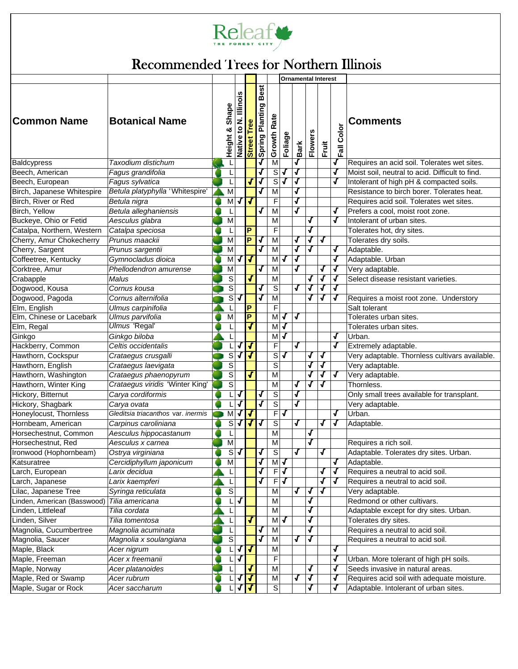

# Releaf Were als Articles for Northern Illinois

|                             |                                    |  |                         |                              |                              |                                       |                            |                         | <b>Ornamental Interest</b> |                     |                         |               |                                                 |
|-----------------------------|------------------------------------|--|-------------------------|------------------------------|------------------------------|---------------------------------------|----------------------------|-------------------------|----------------------------|---------------------|-------------------------|---------------|-------------------------------------------------|
| <b>Common Name</b>          | <b>Botanical Name</b>              |  | Shape<br>ಳ<br>Height    | llinois<br>ند<br>و<br>Native | <b>Tree</b><br><b>Street</b> | <b>Best</b><br><b>Spring Planting</b> | ate<br>$\propto$<br>Growth | Foliage                 | Bark                       | w<br><b>Flowers</b> | Fruit                   | Color<br>Fail | Comments                                        |
| <b>Baldcypress</b>          | Taxodium distichum                 |  | L                       |                              |                              |                                       | M                          |                         | √                          |                     |                         | J             | Requires an acid soil. Tolerates wet sites.     |
| Beech. American             | Fagus grandifolia                  |  | L                       |                              |                              | $\overline{\mathbf{J}}$               | $\overline{s}$             | J                       | Л                          |                     |                         | √             | Moist soil, neutral to acid. Difficult to find. |
| Beech, European             | Fagus sylvatica                    |  | L                       |                              | J                            | J                                     | S                          | J                       | J                          |                     |                         | √             | Intolerant of high pH & compacted soils.        |
| Birch, Japanese Whitespire  | Betula platyphylla 'Whitespire'    |  | М                       |                              |                              | J                                     | M                          |                         | $\bar{J}$                  |                     |                         |               | Resistance to birch borer. Tolerates heat.      |
| Birch, River or Red         | Betula nigra                       |  | M                       | J                            | J                            |                                       | F                          |                         | J                          |                     |                         |               | Requires acid soil. Tolerates wet sites.        |
| Birch, Yellow               | Betula alleghaniensis              |  | L                       |                              |                              | J                                     | M                          |                         |                            |                     |                         | J             | Prefers a cool, moist root zone.                |
| Buckeye, Ohio or Fetid      | Aesculus glabra                    |  | M                       |                              |                              |                                       | M                          |                         |                            | J                   |                         | Г             | Intolerant of urban sites.                      |
| Catalpa, Northern, Western  | Catalpa speciosa                   |  | L                       |                              | P                            |                                       | F                          |                         |                            | J                   |                         |               | Tolerates hot, dry sites.                       |
| Cherry, Amur Chokecherry    | Prunus maackii                     |  | $\overline{\mathsf{M}}$ |                              | P                            | ſ                                     | M                          |                         | J                          | √                   | √                       |               | Tolerates dry soils.                            |
| Cherry, Sargent             | Prunus sargentii                   |  | M                       |                              |                              | $\overline{\mathcal{F}}$              | M                          |                         | √                          | √                   |                         | Л             | Adaptable.                                      |
| Coffeetree, Kentucky        | Gymnocladus dioica                 |  | M                       |                              | J                            |                                       | M                          | J                       | J                          |                     |                         | J             | Adaptable. Urban                                |
| Corktree, Amur              | Phellodendron amurense             |  | M                       |                              |                              | $\overline{\mathcal{F}}$              | M                          |                         | J                          |                     | J                       | J             | Very adaptable.                                 |
| Crabapple                   | Malus                              |  | $\overline{s}$          |                              | J                            |                                       | M                          |                         |                            | J                   | J                       | √             | Select disease resistant varieties.             |
| Dogwood, Kousa              | Cornus kousa                       |  | S                       |                              |                              | J                                     | $\overline{s}$             |                         | J                          | J                   | J                       | J             |                                                 |
| Dogwood, Pagoda             | Cornus alternifolia                |  | $\mathbb S$             | J                            |                              | ſ                                     | M                          |                         |                            | J                   | $\mathbf{J}$            | J             | Requires a moist root zone. Understory          |
| Elm, English                | Ulmus carpinifolia                 |  | L                       |                              | P                            |                                       | F                          |                         |                            |                     |                         |               | Salt tolerant                                   |
| Elm, Chinese or Lacebark    | Ulmus parvifolia                   |  | M                       |                              | P                            |                                       | М                          | J                       | J                          |                     |                         |               | Tolerates urban sites.                          |
| Elm, Regal                  | <b>Ulmus 'Regal'</b>               |  | L                       |                              |                              |                                       | M                          | J                       |                            |                     |                         |               | Tolerates urban sites.                          |
| Ginkgo                      | Ginkgo biloba                      |  |                         |                              |                              |                                       | M                          | J                       |                            |                     |                         | √             | Urban.                                          |
| Hackberry, Common           | Celtis occidentalis                |  | L                       | J                            | √                            |                                       | F                          |                         | √                          |                     |                         | √             | Extremely adaptable.                            |
| Hawthorn, Cockspur          | Crataegus crusgalli                |  | S                       | J                            | J                            |                                       | S                          | √                       |                            | J                   | Л                       |               | Very adaptable. Thornless cultivars available.  |
| Hawthorn, English           | Crataegus laevigata                |  | S                       |                              |                              |                                       | S                          |                         |                            | J                   | J                       |               | Very adaptable.                                 |
| Hawthorn, Washington        | Crataegus phaenopyrum              |  | $\overline{s}$          |                              | J                            |                                       | M                          |                         |                            | J                   | J                       | √             | Very adaptable.                                 |
| Hawthorn, Winter King       | Crataegus viridis 'Winter King'    |  | S                       |                              |                              |                                       | M                          |                         | J                          | J                   | J                       |               | Thornless.                                      |
| Hickory, Bitternut          | Carya cordiformis                  |  | L                       | √                            |                              | Л                                     | S                          |                         | J                          |                     |                         |               | Only small trees available for transplant.      |
| Hickory, Shagbark           | Carya ovata                        |  | L                       | √                            |                              | J                                     | $\overline{s}$             |                         | √                          |                     |                         |               | Very adaptable.                                 |
| Honeylocust, Thornless      | Gleditsia triacanthos var. inermis |  | M                       | √                            | ┫                            |                                       | F                          | √                       |                            |                     |                         | J             | Urban.                                          |
| Hornbeam, American          | Carpinus caroliniana               |  | S                       | √                            | J                            | J                                     | S                          |                         | √                          |                     | Л                       | Г             | Adaptable.                                      |
| Horsechestnut, Common       | Aesculus hippocastanum             |  | L                       |                              |                              |                                       | M                          |                         |                            | √                   |                         |               |                                                 |
| Horsechestnut, Red          | Aesculus x carnea                  |  | M                       |                              |                              |                                       | M                          |                         |                            | J                   |                         |               | Requires a rich soil.                           |
| Ironwood (Hophornbeam)      | Ostrya virginiana                  |  |                         | $S\bar{J}$                   |                              | $\overline{J}$                        | S                          |                         | $\overline{J}$             |                     | $\overline{\mathbf{J}}$ |               | Adaptable. Tolerates dry sites. Urban.          |
| Katsuratree                 | Cercidiphyllum japonicum           |  | M                       |                              |                              | $\overline{\mathbf{J}}$               | M√                         |                         |                            |                     |                         | √             | Adaptable.                                      |
| Larch, European             | Larix decidua                      |  | L                       |                              |                              | J                                     | $\blacksquare$             | √                       |                            |                     | √                       | J             | Requires a neutral to acid soil.                |
| Larch, Japanese             | Larix kaempferi                    |  | L                       |                              |                              | $\overline{\mathcal{F}}$              | $\mathsf F$                | $\overline{\mathbf{J}}$ |                            |                     | ſ                       | Л             | Requires a neutral to acid soil.                |
| Lilac, Japanese Tree        | Syringa reticulata                 |  | $\overline{s}$          |                              |                              |                                       | M                          |                         | J                          | J                   | Л                       |               | Very adaptable.                                 |
| Linden, American (Basswood) | Tilia americana                    |  | 니                       | √                            |                              |                                       | M                          |                         |                            | J                   |                         |               | Redmond or other cultivars.                     |
| Linden, Littleleaf          | Tilia cordata                      |  | L                       |                              |                              |                                       | M                          |                         |                            | J                   |                         |               | Adaptable except for dry sites. Urban.          |
| Linden, Silver              | Tilia tomentosa                    |  | L                       |                              |                              |                                       | M                          | Л                       |                            |                     |                         |               | Tolerates dry sites.                            |
| Magnolia, Cucumbertree      | Magnolia acuminata                 |  | L                       |                              |                              | J                                     | M                          |                         |                            | J                   |                         |               | Requires a neutral to acid soil.                |
| Magnolia, Saucer            | Magnolia x soulangiana             |  | $\overline{s}$          |                              |                              | $\boldsymbol{J}$                      | M                          |                         | J                          | √                   |                         |               | Requires a neutral to acid soil.                |
| Maple, Black                | Acer nigrum                        |  | L                       | √                            | J                            |                                       | M                          |                         |                            |                     |                         | J             |                                                 |
| Maple, Freeman              | Acer x freemanii                   |  | 니                       | √                            |                              |                                       | F                          |                         |                            |                     |                         | J             | Urban. More tolerant of high pH soils.          |
| Maple, Norway               | Acer platanoides                   |  | L                       |                              |                              |                                       | M                          |                         |                            | Г                   |                         | J             | Seeds invasive in natural areas.                |
| Maple, Red or Swamp         | Acer rubrum                        |  | L                       | J                            | $\bm{J}$                     |                                       | M                          |                         | J                          | J                   |                         | J             | Requires acid soil with adequate moisture.      |
| Maple, Sugar or Rock        | Acer saccharum                     |  | L                       | $\sqrt{ }$                   | J                            |                                       | $\overline{s}$             |                         |                            | Л                   |                         | √             | Adaptable. Intolerant of urban sites.           |